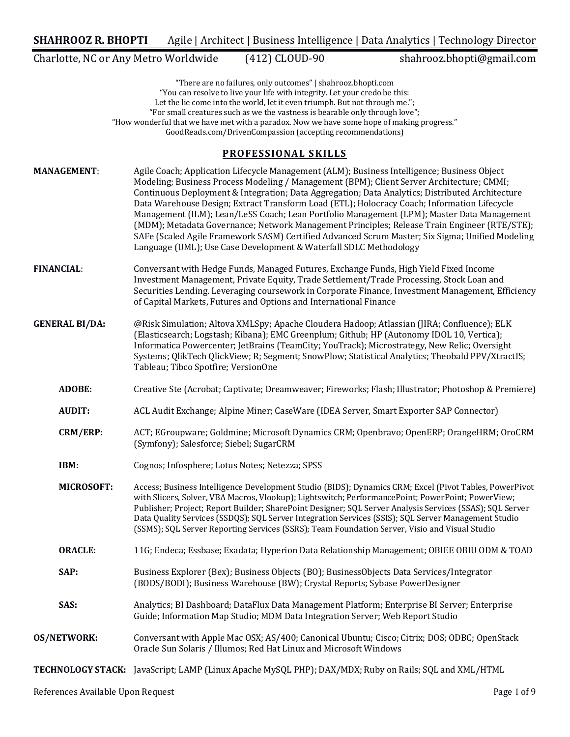Charlotte, NC or Any Metro Worldwide (412) CLOUD-90 shahrooz.bhopti@gmail.com

"There are no failures, only outcomes" | shahrooz.bhopti.com "You can resolve to live your life with integrity. Let your credo be this: Let the lie come into the world, let it even triumph. But not through me."; "For small creatures such as we the vastness is bearable only through love"; "How wonderful that we have met with a paradox. Now we have some hope of making progress." GoodReads.com/DrivenCompassion (accepting recommendations)

## **PROFESSIONAL SKILLS**

**MANAGEMENT:** Agile Coach; Application Lifecycle Management (ALM); Business Intelligence; Business Object Modeling; Business Process Modeling / Management (BPM); Client Server Architecture; CMMI; Continuous Deployment & Integration; Data Aggregation; Data Analytics; Distributed Architecture Data Warehouse Design; Extract Transform Load (ETL); Holocracy Coach; Information Lifecycle Management (ILM); Lean/LeSS Coach; Lean Portfolio Management (LPM); Master Data Management (MDM); Metadata Governance; Network Management Principles; Release Train Engineer (RTE/STE); SAFe (Scaled Agile Framework SASM) Certified Advanced Scrum Master; Six Sigma; Unified Modeling Language (UML); Use Case Development & Waterfall SDLC Methodology **FINANCIAL:** Conversant with Hedge Funds, Managed Futures, Exchange Funds, High Yield Fixed Income Investment Management, Private Equity, Trade Settlement/Trade Processing, Stock Loan and Securities Lending. Leveraging coursework in Corporate Finance, Investment Management, Efficiency of Capital Markets, Futures and Options and International Finance **GENERAL BI/DA:** @Risk Simulation; Altova XMLSpy; Apache Cloudera Hadoop; Atlassian (JIRA; Confluence); ELK (Elasticsearch: Logstash: Kibana); EMC Greenplum; Github; HP (Autonomy IDOL 10, Vertica); Informatica Powercenter; JetBrains (TeamCity; YouTrack); Microstrategy, New Relic; Oversight Systems; QlikTech QlickView; R; Segment; SnowPlow; Statistical Analytics; Theobald PPV/XtractIS; Tableau; Tibco Spotfire; VersionOne **ADOBE:** Creative Ste (Acrobat; Captivate; Dreamweaver; Fireworks; Flash; Illustrator; Photoshop & Premiere) **AUDIT:** ACL Audit Exchange; Alpine Miner; CaseWare (IDEA Server, Smart Exporter SAP Connector) **CRM/ERP:** ACT; EGroupware; Goldmine; Microsoft Dynamics CRM; Openbravo; OpenERP; OrangeHRM; OroCRM (Symfony); Salesforce; Siebel; SugarCRM **IBM:** Cognos; Infosphere; Lotus Notes; Netezza; SPSS **MICROSOFT:** Access; Business Intelligence Development Studio (BIDS); Dynamics CRM; Excel (Pivot Tables, PowerPivot with Slicers, Solver, VBA Macros, Vlookup); Lightswitch; PerformancePoint; PowerPoint; PowerView; Publisher; Project; Report Builder; SharePoint Designer; SQL Server Analysis Services (SSAS); SQL Server Data Quality Services (SSDQS); SQL Server Integration Services (SSIS); SQL Server Management Studio (SSMS); SQL Server Reporting Services (SSRS); Team Foundation Server, Visio and Visual Studio **ORACLE:** 11G; Endeca; Essbase; Exadata; Hyperion Data Relationship Management; OBIEE OBIU ODM & TOAD **SAP:** Business Explorer (Bex); Business Objects (BO); BusinessObjects Data Services/Integrator (BODS/BODI); Business Warehouse (BW); Crystal Reports; Sybase PowerDesigner **SAS:** Analytics; BI Dashboard; DataFlux Data Management Platform; Enterprise BI Server; Enterprise Guide; Information Map Studio; MDM Data Integration Server; Web Report Studio **OS/NETWORK:** Conversant with Apple Mac OSX; AS/400; Canonical Ubuntu; Cisco; Citrix; DOS; ODBC; OpenStack Oracle Sun Solaris / Illumos; Red Hat Linux and Microsoft Windows **TECHNOLOGY STACK:** JavaScript; LAMP (Linux Apache MySQL PHP); DAX/MDX; Ruby on Rails; SQL and XML/HTML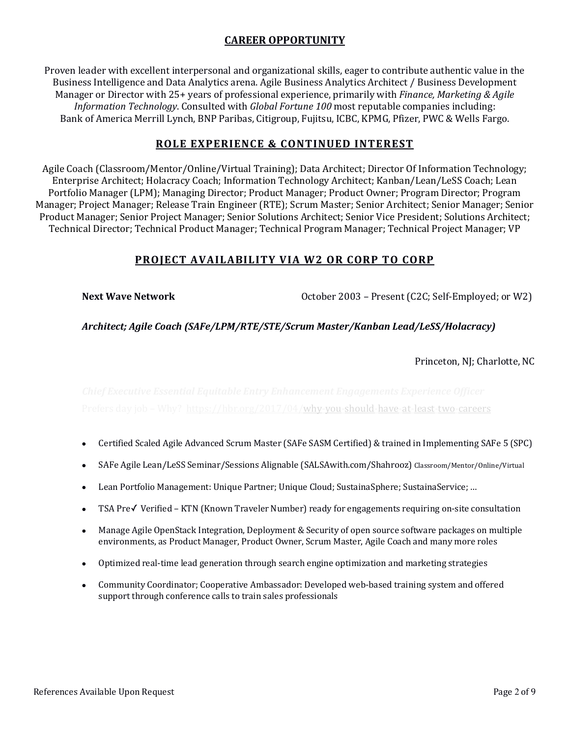# **CAREER OPPORTUNITY**

Proven leader with excellent interpersonal and organizational skills, eager to contribute authentic value in the Business Intelligence and Data Analytics arena. Agile Business Analytics Architect / Business Development Manager or Director with 25+ years of professional experience, primarily with *Finance, Marketing & Agile Information Technology*. Consulted with *Global Fortune 100* most reputable companies including: Bank of America Merrill Lynch, BNP Paribas, Citigroup, Fujitsu, ICBC, KPMG, Pfizer, PWC & Wells Fargo.

# **ROLE EXPERIENCE & CONTINUED INTEREST**

Agile Coach (Classroom/Mentor/Online/Virtual Training); Data Architect; Director Of Information Technology; Enterprise Architect; Holacracy Coach; Information Technology Architect; Kanban/Lean/LeSS Coach; Lean Portfolio Manager (LPM); Managing Director; Product Manager; Product Owner; Program Director; Program Manager; Project Manager; Release Train Engineer (RTE); Scrum Master; Senior Architect; Senior Manager; Senior Product Manager; Senior Project Manager; Senior Solutions Architect; Senior Vice President; Solutions Architect; Technical Director; Technical Product Manager; Technical Program Manager; Technical Project Manager; VP

# **PROJECT AVAILABILITY VIA W2 OR CORP TO CORP**

**Next Wave Network October 2003** – Present (C2C; Self-Employed; or W2)

## *Architect; Agile Coach (SAFe/LPM/RTE/STE/Scrum Master/Kanban Lead/LeSS/Holacracy)*

Princeton, NJ; Charlotte, NC

Prefers day job – Why? https://hbr.org/2017/04/why-you-should-have-at-least-two-careers

- Certified Scaled Agile Advanced Scrum Master (SAFe SASM Certified) & trained in Implementing SAFe 5 (SPC)
- SAFe Agile Lean/LeSS Seminar/Sessions Alignable (SALSAwith.com/Shahrooz) Classroom/Mentor/Online/Virtual
- Lean Portfolio Management: Unique Partner; Unique Cloud; SustainaSphere; SustainaService; ...
- TSA  $Pre\check{V}$  Verified KTN (Known Traveler Number) ready for engagements requiring on-site consultation
- Manage Agile OpenStack Integration, Deployment & Security of open source software packages on multiple environments, as Product Manager, Product Owner, Scrum Master, Agile Coach and many more roles
- Optimized real-time lead generation through search engine optimization and marketing strategies
- Community Coordinator; Cooperative Ambassador: Developed web-based training system and offered support through conference calls to train sales professionals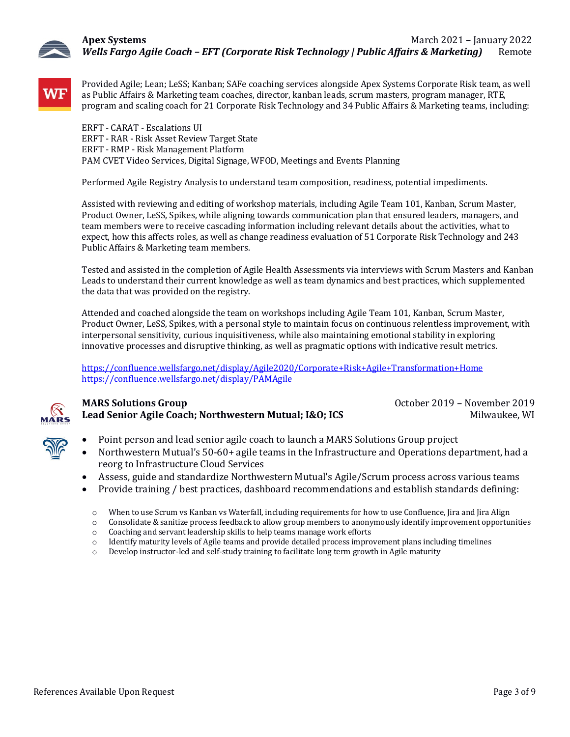



Provided Agile; Lean; LeSS; Kanban; SAFe coaching services alongside Apex Systems Corporate Risk team, as well as Public Affairs & Marketing team coaches, director, kanban leads, scrum masters, program manager, RTE, program and scaling coach for 21 Corporate Risk Technology and 34 Public Affairs & Marketing teams, including:

ERFT - CARAT - Escalations UI ERFT - RAR - Risk Asset Review Target State ERFT - RMP - Risk Management Platform PAM CVET Video Services, Digital Signage, WFOD, Meetings and Events Planning

Performed Agile Registry Analysis to understand team composition, readiness, potential impediments.

Assisted with reviewing and editing of workshop materials, including Agile Team 101, Kanban, Scrum Master, Product Owner, LeSS, Spikes, while aligning towards communication plan that ensured leaders, managers, and team members were to receive cascading information including relevant details about the activities, what to expect, how this affects roles, as well as change readiness evaluation of 51 Corporate Risk Technology and 243 Public Affairs & Marketing team members.

Tested and assisted in the completion of Agile Health Assessments via interviews with Scrum Masters and Kanban Leads to understand their current knowledge as well as team dynamics and best practices, which supplemented the data that was provided on the registry.

Attended and coached alongside the team on workshops including Agile Team 101, Kanban, Scrum Master, Product Owner, LeSS, Spikes, with a personal style to maintain focus on continuous relentless improvement, with interpersonal sensitivity, curious inquisitiveness, while also maintaining emotional stability in exploring innovative processes and disruptive thinking, as well as pragmatic options with indicative result metrics.

https://confluence.wellsfargo.net/display/Agile2020/Corporate+Risk+Agile+Transformation+Home https://confluence.wellsfargo.net/display/PAMAgile



## **MARS Solutions Group COMPONE 2019 October 2019 October 2019 October 2019 Lead Senior Agile Coach; Northwestern Mutual; I&O; ICS** Milwaukee, WI

- Point person and lead senior agile coach to launch a MARS Solutions Group project
- Northwestern Mutual's 50-60+ agile teams in the Infrastructure and Operations department, had a reorg to Infrastructure Cloud Services
- Assess, guide and standardize Northwestern Mutual's Agile/Scrum process across various teams
- Provide training / best practices, dashboard recommendations and establish standards defining:
- o When to use Scrum vs Kanban vs Waterfall, including requirements for how to use Confluence, Jira and Jira Align
- $\circ$  Consolidate & sanitize process feedback to allow group members to anonymously identify improvement opportunities
- o Coaching and servant leadership skills to help teams manage work efforts
- $\circ$  Identify maturity levels of Agile teams and provide detailed process improvement plans including timelines
- $\circ$  Develop instructor-led and self-study training to facilitate long term growth in Agile maturity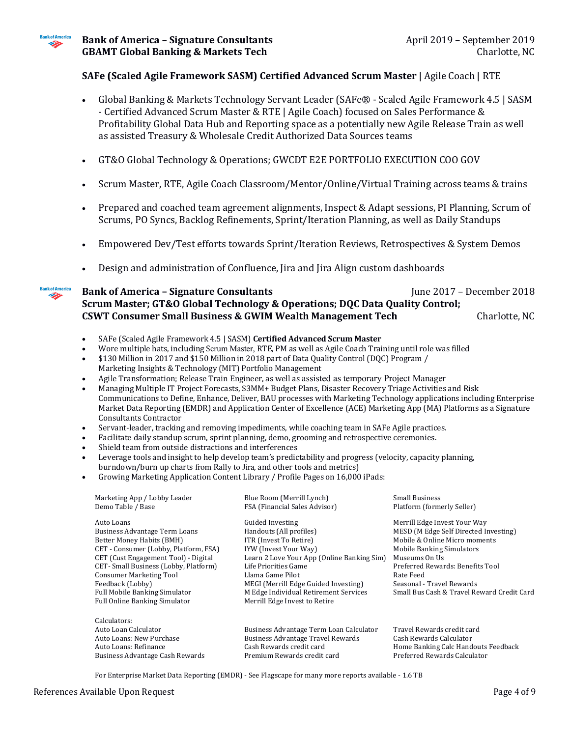

**Bankof America** Þ

### **SAFe (Scaled Agile Framework SASM) Certified Advanced Scrum Master | Agile Coach | RTE**

- Global Banking & Markets Technology Servant Leader (SAFe® Scaled Agile Framework 4.5 | SASM - Certified Advanced Scrum Master & RTE | Agile Coach) focused on Sales Performance & Profitability Global Data Hub and Reporting space as a potentially new Agile Release Train as well as assisted Treasury & Wholesale Credit Authorized Data Sources teams
- GT&O Global Technology & Operations; GWCDT E2E PORTFOLIO EXECUTION COO GOV
- Scrum Master, RTE, Agile Coach Classroom/Mentor/Online/Virtual Training across teams & trains
- Prepared and coached team agreement alignments, Inspect & Adapt sessions, PI Planning, Scrum of Scrums, PO Syncs, Backlog Refinements, Sprint/Iteration Planning, as well as Daily Standups
- Empowered Dev/Test efforts towards Sprint/Iteration Reviews, Retrospectives & System Demos
- Design and administration of Confluence, Jira and Jira Align custom dashboards

### **Bank of America – Signature Consultants** June 2017 – December 2018 **Scrum Master; GT&O Global Technology & Operations; DOC Data Quality Control; CSWT Consumer Small Business & GWIM Wealth Management Tech Charlotte, NC**

- SAFe (Scaled Agile Framework 4.5 | SASM) Certified Advanced Scrum Master
- Wore multiple hats, including Scrum Master, RTE, PM as well as Agile Coach Training until role was filled
- \$130 Million in 2017 and \$150 Million in 2018 part of Data Quality Control (DQC) Program / Marketing Insights & Technology (MIT) Portfolio Management
- Agile Transformation; Release Train Engineer, as well as assisted as temporary Project Manager
- Managing Multiple IT Project Forecasts, \$3MM+ Budget Plans, Disaster Recovery Triage Activities and Risk Communications to Define, Enhance, Deliver, BAU processes with Marketing Technology applications including Enterprise Market Data Reporting (EMDR) and Application Center of Excellence (ACE) Marketing App (MA) Platforms as a Signature Consultants Contractor
- Servant-leader, tracking and removing impediments, while coaching team in SAFe Agile practices.
- Facilitate daily standup scrum, sprint planning, demo, grooming and retrospective ceremonies.
- Shield team from outside distractions and interferences
- Leverage tools and insight to help develop team's predictability and progress (velocity, capacity planning, burndown/burn up charts from Rally to Jira, and other tools and metrics)
- Growing Marketing Application Content Library / Profile Pages on 16,000 iPads:

| Marketing App / Lobby Leader<br>Demo Table / Base                                                                                                                                                                                                                                                                                       | Blue Room (Merrill Lynch)<br>FSA (Financial Sales Advisor)                                                                                                                                                                                                                                                 | <b>Small Business</b><br>Platform (formerly Seller)                                                                                                                                                                                                                                     |
|-----------------------------------------------------------------------------------------------------------------------------------------------------------------------------------------------------------------------------------------------------------------------------------------------------------------------------------------|------------------------------------------------------------------------------------------------------------------------------------------------------------------------------------------------------------------------------------------------------------------------------------------------------------|-----------------------------------------------------------------------------------------------------------------------------------------------------------------------------------------------------------------------------------------------------------------------------------------|
| Auto Loans<br>Business Advantage Term Loans<br>Better Money Habits (BMH)<br>CET - Consumer (Lobby, Platform, FSA)<br>CET (Cust Engagement Tool) - Digital<br>CET-Small Business (Lobby, Platform)<br><b>Consumer Marketing Tool</b><br>Feedback (Lobby)<br><b>Full Mobile Banking Simulator</b><br><b>Full Online Banking Simulator</b> | Guided Investing<br>Handouts (All profiles)<br>ITR (Invest To Retire)<br>IYW (Invest Your Way)<br>Learn 2 Love Your App (Online Banking Sim)<br>Life Priorities Game<br>Llama Game Pilot<br>MEGI (Merrill Edge Guided Investing)<br>M Edge Individual Retirement Services<br>Merrill Edge Invest to Retire | Merrill Edge Invest Your Way<br>MESD (M Edge Self Directed Investing)<br>Mobile & Online Micro moments<br><b>Mobile Banking Simulators</b><br>Museums On Us<br>Preferred Rewards: Benefits Tool<br>Rate Feed<br>Seasonal - Travel Rewards<br>Small Bus Cash & Travel Reward Credit Card |
| Calculators:<br>Auto Loan Calculator<br>Auto Loans: New Purchase<br>Auto Loans: Refinance<br>Business Advantage Cash Rewards                                                                                                                                                                                                            | Business Advantage Term Loan Calculator<br><b>Business Advantage Travel Rewards</b><br>Cash Rewards credit card<br>Premium Rewards credit card                                                                                                                                                             | Travel Rewards credit card<br>Cash Rewards Calculator<br>Home Banking Calc Handouts Feedback<br>Preferred Rewards Calculator                                                                                                                                                            |

For Enterprise Market Data Reporting (EMDR) - See Flagscape for many more reports available - 1.6 TB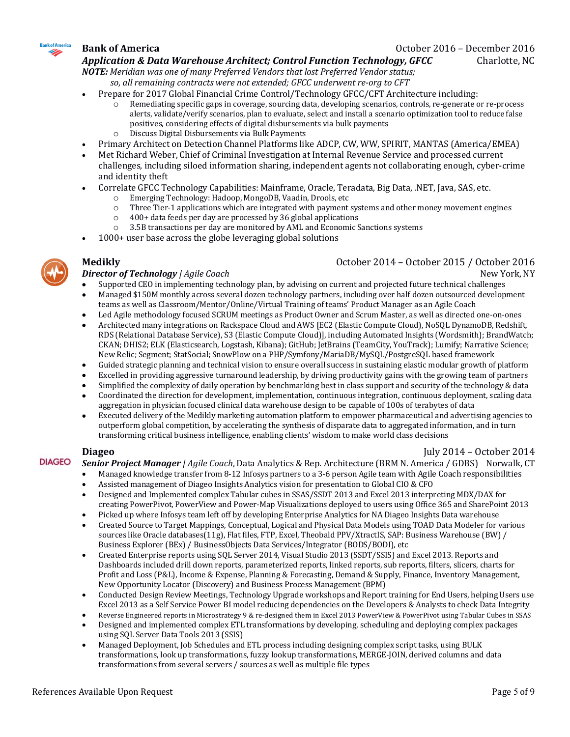

**Bank of America Compared 2016** – December 2016

Application & Data Warehouse Architect; Control Function Technology, GFCC Charlotte, NC

**NOTE:** Meridian was one of many Preferred Vendors that lost Preferred Vendor status; so, all remaining contracts were not extended; GFCC underwent re-org to CFT

- Prepare for 2017 Global Financial Crime Control/Technology GFCC/CFT Architecture including:
	- $\circ$  Remediating specific gaps in coverage, sourcing data, developing scenarios, controls, re-generate or re-process alerts, validate/verify scenarios, plan to evaluate, select and install a scenario optimization tool to reduce false positives, considering effects of digital disbursements via bulk payments
	- o Discuss Digital Disbursements via Bulk Payments
- Primary Architect on Detection Channel Platforms like ADCP, CW, WW, SPIRIT, MANTAS (America/EMEA)
- Met Richard Weber, Chief of Criminal Investigation at Internal Revenue Service and processed current challenges, including siloed information sharing, independent agents not collaborating enough, cyber-crime and identity theft
- Correlate GFCC Technology Capabilities: Mainframe, Oracle, Teradata, Big Data, .NET, Java, SAS, etc.
	- $\circ$  Emerging Technology: Hadoop, MongoDB, Vaadin, Drools, etc
	- $\circ$  Three Tier-1 applications which are integrated with payment systems and other money movement engines
	- $\circ$  400+ data feeds per day are processed by 36 global applications
	- $\circ$  3.5B transactions per day are monitored by AML and Economic Sanctions systems
- 1000+ user base across the globe leveraging global solutions



## **Medikly Medikly October 2014 – October 2015** / October 2016

### **Director of Technology** *|* Agile Coach  $\blacksquare$  New York, NY

- Supported CEO in implementing technology plan, by advising on current and projected future technical challenges
- Managed \$150M monthly across several dozen technology partners, including over half dozen outsourced development teams as well as Classroom/Mentor/Online/Virtual Training of teams' Product Manager as an Agile Coach
- Led Agile methodology focused SCRUM meetings as Product Owner and Scrum Master, as well as directed one-on-ones
- Architected many integrations on Rackspace Cloud and AWS [EC2 (Elastic Compute Cloud), NoSQL DynamoDB, Redshift, RDS (Relational Database Service), S3 (Elastic Compute Cloud)], including Automated Insights (Wordsmith); BrandWatch; CKAN; DHIS2; ELK (Elasticsearch, Logstash, Kibana); GitHub; JetBrains (TeamCity, YouTrack); Lumify; Narrative Science; New Relic; Segment; StatSocial; SnowPlow on a PHP/Symfony/MariaDB/MySQL/PostgreSQL based framework
- Guided strategic planning and technical vision to ensure overall success in sustaining elastic modular growth of platform
- Excelled in providing aggressive turnaround leadership, by driving productivity gains with the growing team of partners
- Simplified the complexity of daily operation by benchmarking best in class support and security of the technology  $&$  data
- Coordinated the direction for development, implementation, continuous integration, continuous deployment, scaling data aggregation in physician focused clinical data warehouse design to be capable of 100s of terabytes of data
- Executed delivery of the Medikly marketing automation platform to empower pharmaceutical and advertising agencies to outperform global competition, by accelerating the synthesis of disparate data to aggregated information, and in turn transforming critical business intelligence, enabling clients' wisdom to make world class decisions

### **Diageo** July 2014 – October 2014

**DIAGEO Senior Project Manager** / Agile Coach, Data Analytics & Rep. Architecture (BRM N. America / GDBS) Norwalk, CT

- Managed knowledge transfer from 8-12 Infosys partners to a 3-6 person Agile team with Agile Coach responsibilities
	- Assisted management of Diageo Insights Analytics vision for presentation to Global CIO & CFO
- Designed and Implemented complex Tabular cubes in SSAS/SSDT 2013 and Excel 2013 interpreting MDX/DAX for creating PowerPivot, PowerView and Power-Map Visualizations deployed to users using Office 365 and SharePoint 2013
- Picked up where Infosys team left off by developing Enterprise Analytics for NA Diageo Insights Data warehouse
- Created Source to Target Mappings, Conceptual, Logical and Physical Data Models using TOAD Data Modeler for various sources like Oracle databases(11g), Flat files, FTP, Excel, Theobald PPV/XtractIS, SAP: Business Warehouse (BW) / Business Explorer (BEx) / BusinessObjects Data Services/Integrator (BODS/BODI), etc
- Created Enterprise reports using SOL Server 2014, Visual Studio 2013 (SSDT/SSIS) and Excel 2013. Reports and Dashboards included drill down reports, parameterized reports, linked reports, sub reports, filters, slicers, charts for Profit and Loss (P&L), Income & Expense, Planning & Forecasting, Demand & Supply, Finance, Inventory Management, New Opportunity Locator (Discovery) and Business Process Management (BPM)
- Conducted Design Review Meetings, Technology Upgrade workshops and Report training for End Users, helping Users use Excel 2013 as a Self Service Power BI model reducing dependencies on the Developers & Analysts to check Data Integrity
- Reverse Engineered reports in Microstrategy 9 & re-designed them in Excel 2013 PowerView & PowerPivot using Tabular Cubes in SSAS
- Designed and implemented complex ETL transformations by developing, scheduling and deploying complex packages using SQL Server Data Tools 2013 (SSIS)
- Managed Deployment, Job Schedules and ETL process including designing complex script tasks, using BULK transformations, look up transformations, fuzzy lookup transformations, MERGE-JOIN, derived columns and data transformations from several servers / sources as well as multiple file types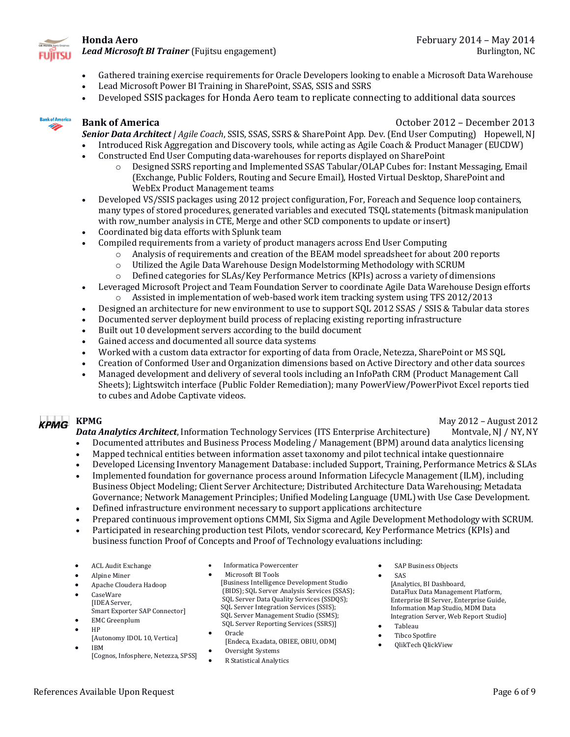

*Lead Microsoft BI Trainer* (Fujitsu engagement) Burlington, NC

- Gathered training exercise requirements for Oracle Developers looking to enable a Microsoft Data Warehouse
- Lead Microsoft Power BI Training in SharePoint, SSAS, SSIS and SSRS
- Developed SSIS packages for Honda Aero team to replicate connecting to additional data sources



**Bank of America Bank of America October 2012** – December 2013

**Senior Data Architect** / Agile Coach, SSIS, SSAS, SSRS & SharePoint App. Dev. (End User Computing) Hopewell, NJ

- Introduced Risk Aggregation and Discovery tools, while acting as Agile Coach & Product Manager (EUCDW)
- Constructed End User Computing data-warehouses for reports displayed on SharePoint
	- $\circ$  Designed SSRS reporting and Implemented SSAS Tabular/OLAP Cubes for: Instant Messaging, Email (Exchange, Public Folders, Routing and Secure Email), Hosted Virtual Desktop, SharePoint and WebEx Product Management teams
- Developed VS/SSIS packages using 2012 project configuration, For, Foreach and Sequence loop containers, many types of stored procedures, generated variables and executed TSQL statements (bitmask manipulation with row number analysis in CTE, Merge and other SCD components to update or insert)
- Coordinated big data efforts with Splunk team
	- Compiled requirements from a variety of product managers across End User Computing
		- $\circ$  Analysis of requirements and creation of the BEAM model spreadsheet for about 200 reports
		- $\circ$  Utilized the Agile Data Warehouse Design Modelstorming Methodology with SCRUM
		- $\circ$  Defined categories for SLAs/Key Performance Metrics (KPIs) across a variety of dimensions
- Leveraged Microsoft Project and Team Foundation Server to coordinate Agile Data Warehouse Design efforts
	- $\circ$  Assisted in implementation of web-based work item tracking system using TFS 2012/2013
- Designed an architecture for new environment to use to support SQL 2012 SSAS / SSIS & Tabular data stores
- Documented server deployment build process of replacing existing reporting infrastructure
- Built out 10 development servers according to the build document
- Gained access and documented all source data systems
- Worked with a custom data extractor for exporting of data from Oracle, Netezza, SharePoint or MS SQL
- Creation of Conformed User and Organization dimensions based on Active Directory and other data sources
- Managed development and delivery of several tools including an InfoPath CRM (Product Management Call Sheets); Lightswitch interface (Public Folder Remediation); many PowerView/PowerPivot Excel reports tied to cubes and Adobe Captivate videos.

**KPMG** KPMG  $\overline{R}$  May 2012 – August 2012 **Data Analytics Architect**, Information Technology Services (ITS Enterprise Architecture) Montvale, NJ / NY, NY

- Documented attributes and Business Process Modeling / Management (BPM) around data analytics licensing
- Mapped technical entities between information asset taxonomy and pilot technical intake questionnaire
- Developed Licensing Inventory Management Database: included Support, Training, Performance Metrics & SLAs
- Implemented foundation for governance process around Information Lifecycle Management (ILM), including Business Object Modeling; Client Server Architecture; Distributed Architecture Data Warehousing; Metadata Governance; Network Management Principles; Unified Modeling Language (UML) with Use Case Development.
- Defined infrastructure environment necessary to support applications architecture
- Prepared continuous improvement options CMMI, Six Sigma and Agile Development Methodology with SCRUM.
- Participated in researching production test Pilots, vendor scorecard, Key Performance Metrics (KPIs) and business function Proof of Concepts and Proof of Technology evaluations including:
- ACL Audit Exchange
- Alpine Miner
- Apache Cloudera Hadoop
- CaseWare [IDEA Server,
- Smart Exporter SAP Connector]
- EMC Greenplum • HP
- [Autonomy IDOL 10, Vertica]
- IBM
	- [Cognos, Infosphere, Netezza, SPSS]
- Informatica Powercenter
- Microsoft BI Tools [Business Intelligence Development Studio (BIDS); SQL Server Analysis Services (SSAS); SQL Server Data Quality Services (SSDQS); SQL Server Integration Services (SSIS); SQL Server Management Studio (SSMS); SQL Server Reporting Services (SSRS)]
- Oracle [Endeca, Exadata, OBIEE, OBIU, ODM]
- 
- Oversight Systems
- R Statistical Analytics
- SAP Business Objects
- SAS [Analytics, BI Dashboard, DataFlux Data Management Platform, Enterprise BI Server, Enterprise Guide, Information Map Studio, MDM Data Integration Server, Web Report Studio]
- Tableau
- Tibco Spotfire
- QlikTech QlickView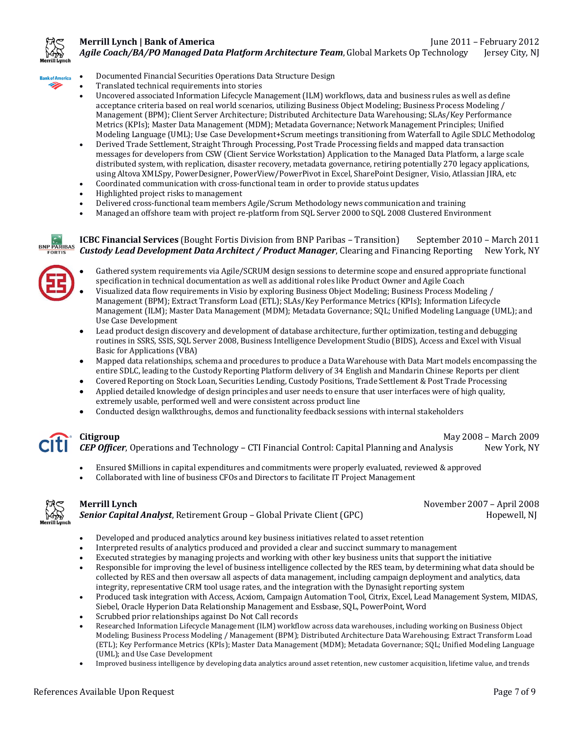

# **Merrill Lynch | Bank of America** June 2011 – February 2012

*Agile Coach/BA/PO Managed Data Platform Architecture Team*, Global Markets Op Technology Jersey City, NJ



- Documented Financial Securities Operations Data Structure Design
- Translated technical requirements into stories
- Uncovered associated Information Lifecycle Management (ILM) workflows, data and business rules as well as define acceptance criteria based on real world scenarios, utilizing Business Object Modeling; Business Process Modeling / Management (BPM); Client Server Architecture; Distributed Architecture Data Warehousing; SLAs/Key Performance Metrics (KPIs); Master Data Management (MDM); Metadata Governance; Network Management Principles; Unified Modeling Language (UML); Use Case Development+Scrum meetings transitioning from Waterfall to Agile SDLC Methodolog
- Derived Trade Settlement, Straight Through Processing, Post Trade Processing fields and mapped data transaction messages for developers from CSW (Client Service Workstation) Application to the Managed Data Platform, a large scale distributed system, with replication, disaster recovery, metadata governance, retiring potentially 270 legacy applications, using Altova XMLSpy, PowerDesigner, PowerView/PowerPivot in Excel, SharePoint Designer, Visio, Atlassian JIRA, etc
- Coordinated communication with cross-functional team in order to provide status updates
- Highlighted project risks to management
- Delivered cross-functional team members Agile/Scrum Methodology news communication and training
- Managed an offshore team with project re-platform from SQL Server 2000 to SQL 2008 Clustered Environment



### **ICBC Financial Services** (Bought Fortis Division from BNP Paribas – Transition) September 2010 – March 2011 **Custody Lead Development Data Architect / Product Manager**, Clearing and Financing Reporting New York, NY

- Gathered system requirements via Agile/SCRUM design sessions to determine scope and ensured appropriate functional specification in technical documentation as well as additional roles like Product Owner and Agile Coach
- Visualized data flow requirements in Visio by exploring Business Object Modeling; Business Process Modeling / Management (BPM); Extract Transform Load (ETL); SLAs/Key Performance Metrics (KPIs); Information Lifecycle Management (ILM); Master Data Management (MDM); Metadata Governance; SQL; Unified Modeling Language (UML); and Use Case Development
- Lead product design discovery and development of database architecture, further optimization, testing and debugging routines in SSRS, SSIS, SQL Server 2008, Business Intelligence Development Studio (BIDS), Access and Excel with Visual Basic for Applications (VBA)
- Mapped data relationships, schema and procedures to produce a Data Warehouse with Data Mart models encompassing the entire SDLC, leading to the Custody Reporting Platform delivery of 34 English and Mandarin Chinese Reports per client
- Covered Reporting on Stock Loan, Securities Lending, Custody Positions, Trade Settlement & Post Trade Processing
- Applied detailed knowledge of design principles and user needs to ensure that user interfaces were of high quality, extremely usable, performed well and were consistent across product line
- Conducted design walkthroughs, demos and functionality feedback sessions with internal stakeholders

**Citigroup** May 2008 – March 2009 **CEP Officer**, Operations and Technology – CTI Financial Control: Capital Planning and Analysis New York, NY

- Ensured \$Millions in capital expenditures and commitments were properly evaluated, reviewed & approved
- Collaborated with line of business CFOs and Directors to facilitate IT Project Management



**Senior Capital Analyst**, Retirement Group – Global Private Client (GPC) Hopewell, NJ

**Merrill Lynch** November 2007 – April 2008

- Developed and produced analytics around key business initiatives related to asset retention
- Interpreted results of analytics produced and provided a clear and succinct summary to management
- Executed strategies by managing projects and working with other key business units that support the initiative
- Responsible for improving the level of business intelligence collected by the RES team, by determining what data should be collected by RES and then oversaw all aspects of data management, including campaign deployment and analytics, data integrity, representative CRM tool usage rates, and the integration with the Dynasight reporting system
- Produced task integration with Access, Acxiom, Campaign Automation Tool, Citrix, Excel, Lead Management System, MIDAS, Siebel, Oracle Hyperion Data Relationship Management and Essbase, SQL, PowerPoint, Word
- Scrubbed prior relationships against Do Not Call records
- Researched Information Lifecycle Management (ILM) workflow across data warehouses, including working on Business Object Modeling; Business Process Modeling / Management (BPM); Distributed Architecture Data Warehousing; Extract Transform Load (ETL); Key Performance Metrics (KPIs); Master Data Management (MDM); Metadata Governance; SQL; Unified Modeling Language (UML); and Use Case Development
- Improved business intelligence by developing data analytics around asset retention, new customer acquisition, lifetime value, and trends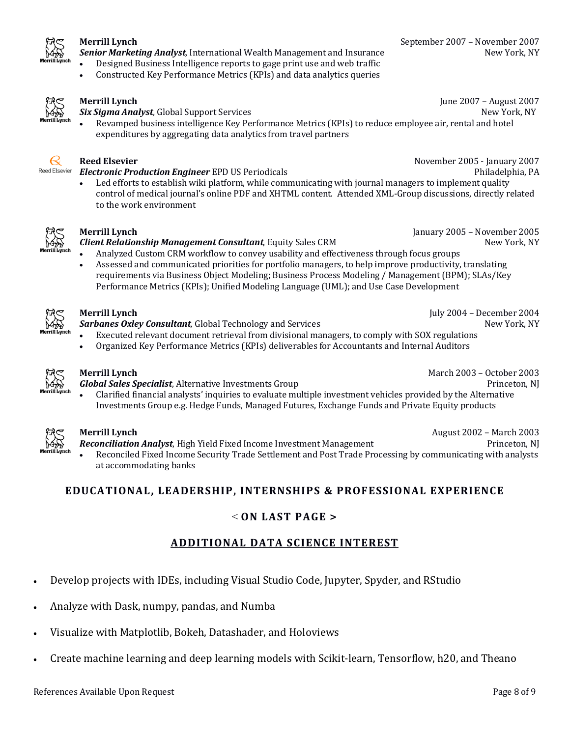

**Senior Marketing Analyst**, International Wealth Management and Insurance New York, NY

- Designed Business Intelligence reports to gage print use and web traffic
- Constructed Key Performance Metrics (KPIs) and data analytics queries



**Six Sigma Analyst**, Global Support Services **New York, NY** New York, NY

Revamped business intelligence Key Performance Metrics (KPIs) to reduce employee air, rental and hotel expenditures by aggregating data analytics from travel partners



### **Reed Elsevier** November 2005 - January 2007

Reed Elsevier **Electronic Production Engineer** EPD US Periodicals **Philadelphia**, PA

Led efforts to establish wiki platform, while communicating with journal managers to implement quality control of medical journal's online PDF and XHTML content. Attended XML-Group discussions, directly related to the work environment



### **Merrill Lynch** January 2005 – November 2005

**Client Relationship Management Consultant**, Equity Sales CRM **New York, NY** New York, NY

- Analyzed Custom CRM workflow to convey usability and effectiveness through focus groups
- Assessed and communicated priorities for portfolio managers, to help improve productivity, translating requirements via Business Object Modeling; Business Process Modeling / Management (BPM); SLAs/Key Performance Metrics (KPIs); Unified Modeling Language (UML); and Use Case Development



**Sarbanes Oxley Consultant**, Global Technology and Services **New York, NY** New York, NY

**Merrill Lynch** July 2004 – December 2004

Executed relevant document retrieval from divisional managers, to comply with SOX regulations Organized Key Performance Metrics (KPIs) deliverables for Accountants and Internal Auditors



**Merrill Lynch** March 2003 – October 2003

**Global Sales Specialist**, Alternative Investments Group **Princeton, NJ** Princeton, NJ Clarified financial analysts' inquiries to evaluate multiple investment vehicles provided by the Alternative Investments Group e.g. Hedge Funds, Managed Futures, Exchange Funds and Private Equity products



**Merrill Lynch August** 2002 – March 2003

**Reconciliation Analyst**, High Yield Fixed Income Investment Management **Princeton, NJ** Princeton, NJ Reconciled Fixed Income Security Trade Settlement and Post Trade Processing by communicating with analysts at accommodating banks

# EDUCATIONAL, LEADERSHIP, INTERNSHIPS & PROFESSIONAL EXPERIENCE

## < **ON LAST PAGE >**

# **ADDITIONAL DATA SCIENCE INTEREST**

- Develop projects with IDEs, including Visual Studio Code, Jupyter, Spyder, and RStudio
- Analyze with Dask, numpy, pandas, and Numba
- Visualize with Matplotlib, Bokeh, Datashader, and Holoviews
- Create machine learning and deep learning models with Scikit-learn, Tensorflow, h20, and Theano

**Merrill Lynch** June 2007 – August 2007